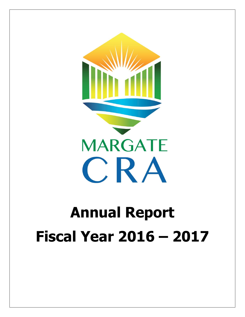

# **Annual Report Fiscal Year 2016 – 2017**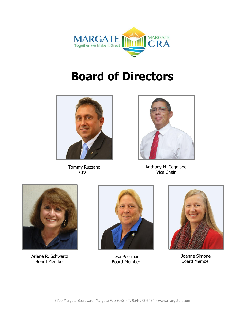

# **Board of Directors**



Tommy Ruzzano Chair



Anthony N. Caggiano Vice Chair



Arlene R. Schwartz Board Member



Lesa Peerman Board Member



Joanne Simone Board Member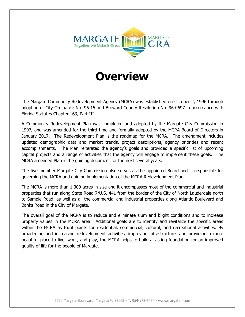

### **Overview**

The Margate Community Redevelopment Agency (MCRA) was established on October 2, 1996 through adoption of City Ordinance No. 96-15 and Broward County Resolution No. 96-0697 in accordance with Florida Statutes Chapter 163, Part III.

A Community Redevelopment Plan was completed and adopted by the Margate City Commission in 1997, and was amended for the third time and formally adopted by the MCRA Board of Directors in January 2017. The Redevelopment Plan is the roadmap for the MCRA. The amendment includes updated demographic data and market trends, project descriptions, agency priorities and recent accomplishments. The Plan reiterated the agency's goals and provided a specific list of upcoming capital projects and a range of activities that the agency will engage to implement these goals. The MCRA amended Plan is the guiding document for the next several years.

The five member Margate City Commission also serves as the appointed Board and is responsible for governing the MCRA and guiding implementation of the MCRA Redevelopment Plan.

The MCRA is more than 1,300 acres in size and it encompasses most of the commercial and industrial properties that run along State Road 7/U.S. 441 from the border of the City of North Lauderdale north to Sample Road, as well as all the commercial and industrial properties along Atlantic Boulevard and Banks Road in the City of Margate.

The overall goal of the MCRA is to reduce and eliminate slum and blight conditions and to increase property values in the MCRA area. Additional goals are to identify and revitalize the specific areas within the MCRA as focal points for residential, commercial, cultural, and recreational activities. By broadening and increasing redevelopment activities, improving infrastructure, and providing a more beautiful place to live, work, and play, the MCRA helps to build a lasting foundation for an improved quality of life for the people of Margate.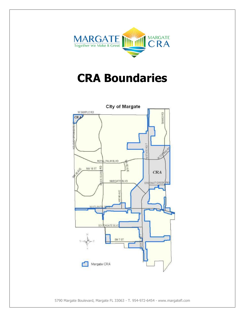

### **CRA Boundaries**



5790 Margate Boulevard, Margate FL 33063 - T. 954-972-6454 - www.margatefl.com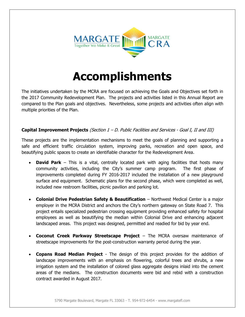

## **Accomplishments**

The initiatives undertaken by the MCRA are focused on achieving the Goals and Objectives set forth in the 2017 Community Redevelopment Plan. The projects and activities listed in this Annual Report are compared to the Plan goals and objectives. Nevertheless, some projects and activities often align with multiple priorities of the Plan.

#### **Capital Improvement Projects** (Section 1 – D. Public Facilities and Services - Goal I, II and III)

These projects are the implementation mechanisms to meet the goals of planning and supporting a safe and efficient traffic circulation system, improving parks, recreation and open space, and beautifying public spaces to create an identifiable character for the Redevelopment Area.

- **David Park** This is a vital, centrally located park with aging facilities that hosts many community activities, including the City's summer camp program. The first phase of improvements completed during FY 2016-2017 included the installation of a new playground surface and equipment. Schematic plans for the second phase, which were completed as well, included new restroom facilities, picnic pavilion and parking lot.
- **Colonial Drive Pedestrian Safety & Beautification** Northwest Medical Center is a major employer in the MCRA District and anchors the City's northern gateway on State Road 7. This project entails specialized pedestrian crossing equipment providing enhanced safety for hospital employees as well as beautifying the median within Colonial Drive and enhancing adjacent landscaped areas. This project was designed, permitted and readied for bid by year end.
- **Coconut Creek Parkway Streetscape Project** The MCRA oversaw maintenance of streetscape improvements for the post-construction warranty period during the year.
- **Copans Road Median Project** The design of this project provides for the addition of landscape improvements with an emphasis on flowering, colorful trees and shrubs, a new irrigation system and the installation of colored glass aggregate designs inlaid into the cement areas of the medians. The construction documents were bid and rebid with a construction contract awarded in August 2017.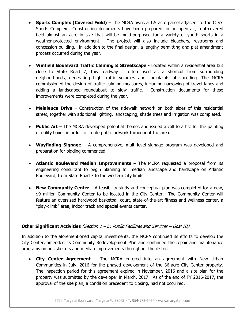- **Sports Complex (Covered Field)** The MCRA owns a 1.5 acre parcel adjacent to the City's Sports Complex. Construction documents have been prepared for an open air, roof-covered field almost an acre in size that will be multi-purposed for a variety of youth sports in a weather-protected environment. The project will also include bleachers, restrooms and concession building. In addition to the final design, a lengthy permitting and plat amendment process occurred during the year.
- **Winfield Boulevard Traffic Calming & Streetscape** Located within a residential area but close to State Road 7, this roadway is often used as a shortcut from surrounding neighborhoods, generating high traffic volumes and complaints of speeding. The MCRA commissioned the design of traffic calming measures, including narrowing of travel lanes and adding a landscaped roundabout to slow traffic. Construction documents for these improvements were completed during the year.
- **Melaleuca Drive** Construction of the sidewalk network on both sides of this residential street, together with additional lighting, landscaping, shade trees and irrigation was completed.
- **Public Art** The MCRA developed potential themes and issued a call to artist for the painting of utility boxes in order to create public artwork throughout the area.
- **Wayfinding Signage** A comprehensive, multi-level signage program was developed and preparation for bidding commenced.
- **Atlantic Boulevard Median Improvements** The MCRA requested a proposal from its engineering consultant to begin planning for median landscape and hardscape on Atlantic Boulevard, from State Road 7 to the western City limits.
- **New Community Center** A feasibility study and conceptual plan was completed for a new, \$9 million Community Center to be located in the City Center. The Community Center will feature an oversized hardwood basketball court, state-of-the-art fitness and wellness center, a "play-climb" area, indoor track and special events center.

#### **Other Significant Activities** (Section 1 – D. Public Facilities and Services – Goal III)

In addition to the aforementioned capital investments, the MCRA continued its efforts to develop the City Center, amended its Community Redevelopment Plan and continued the repair and maintenance programs on bus shelters and median improvements throughout the district.

 **City Center Agreement** – The MCRA entered into an agreement with New Urban Communities in July, 2016 for the phased development of the 36-acre City Center property. The inspection period for this agreement expired in November, 2016 and a site plan for the property was submitted by the developer in March, 2017. As of the end of FY 2016-2017, the approval of the site plan, a condition precedent to closing, had not occurred.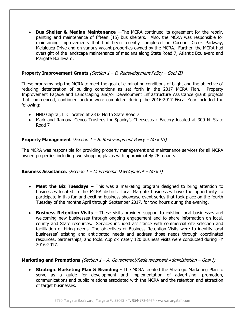**Bus Shelter & Median Maintenance** —The MCRA continued its agreement for the repair, painting and maintenance of fifteen (15) bus shelters. Also, the MCRA was responsible for maintaining improvements that had been recently completed on Coconut Creek Parkway, Melaleuca Drive and on various vacant properties owned by the MCRA. Further, the MCRA had oversight of the landscape maintenance of medians along State Road 7, Atlantic Boulevard and Margate Boulevard.

#### **Property Improvement Grants** (Section 1 – B. Redevelopment Policy – Goal II)

These programs help the MCRA to meet the goal of eliminating conditions of blight and the objective of reducing deterioration of building conditions as set forth in the 2017 MCRA Plan. Property Improvement Façade and Landscaping and/or Development Infrastructure Assistance grant projects that commenced, continued and/or were completed during the 2016-2017 Fiscal Year included the following:

- NND Capital, LLC located at 2333 North State Road 7
- Mark and Ramona Genco Trustees for Spanky's Cheesesteak Factory located at 309 N. State Road 7

#### **Property Management** (Section 1 – B. Redevelopment Policy – Goal III)

The MCRA was responsible for providing property management and maintenance services for all MCRA owned properties including two shopping plazas with approximately 26 tenants.

#### **Business Assistance,** (Section 1 – C. Economic Development – Goal I)

- **Meet the Biz Tuesdays –** This was a marketing program designed to bring attention to businesses located in the MCRA district. Local Margate businesses have the opportunity to participate in this fun and exciting business showcase event series that took place on the fourth Tuesday of the months April through September 2017, for two hours during the evening.
- **Business Retention Visits –** These visits provided support to existing local businesses and welcoming new businesses through ongoing engagement and to share information on local, county and State resources. Services included assistance with commercial site selection and facilitation of hiring needs. The objectives of Business Retention Visits were to identify local businesses' existing and anticipated needs and address those needs through coordinated resources, partnerships, and tools. Approximately 120 business visits were conducted during FY 2016-2017.

#### **Marketing and Promotions** (Section 1 – A. Government/Redevelopment Administration – Goal I)

 **Strategic Marketing Plan & Branding -** The MCRA created the Strategic Marketing Plan to serve as a guide for development and implementation of advertising, promotion, communications and public relations associated with the MCRA and the retention and attraction of target businesses.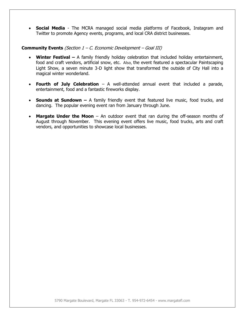**Social Media** - The MCRA managed social media platforms of Facebook, Instagram and Twitter to promote Agency events, programs, and local CRA district businesses.

#### **Community Events** (Section 1 – C. Economic Development – Goal III)

- **Winter Festival –** A family friendly holiday celebration that included holiday entertainment, food and craft vendors, artificial snow, etc. Also, the event featured a spectacular Paintscaping Light Show, a seven minute 3-D light show that transformed the outside of City Hall into a magical winter wonderland.
- **Fourth of July Celebration** A well-attended annual event that included a parade, entertainment, food and a fantastic fireworks display.
- **Sounds at Sundown –** A family friendly event that featured live music, food trucks, and dancing. The popular evening event ran from January through June.
- **Margate Under the Moon** An outdoor event that ran during the off-season months of August through November. This evening event offers live music, food trucks, arts and craft vendors, and opportunities to showcase local businesses.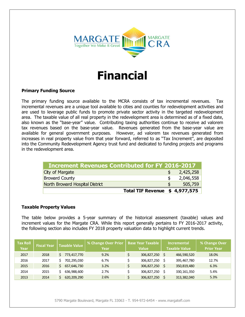

### **Financial**

#### **Primary Funding Source**

The primary funding source available to the MCRA consists of tax incremental revenues. Tax incremental revenues are a unique tool available to cities and counties for redevelopment activities and are used to leverage public funds to promote private sector activity in the targeted redevelopment area. The taxable value of all real property in the redevelopment area is determined as of a fixed date, also known as the "base-year" value. Contributing taxing authorities continue to receive ad valorem tax revenues based on the base-year value. Revenues generated from the base-year value are available for general government purposes. However, ad valorem tax revenues generated from increases in real property value from that year forward, referred to as "Tax Increment", are deposited into the Community Redevelopment Agency trust fund and dedicated to funding projects and programs in the redevelopment area.

| <b>Increment Revenues Contributed for FY 2016-2017</b> |                               |           |
|--------------------------------------------------------|-------------------------------|-----------|
| City of Margate                                        |                               | 2,425,258 |
| <b>Broward County</b>                                  |                               | 2,046,558 |
| North Broward Hospital District                        |                               | 505,759   |
|                                                        | Total TIF Revenue \$4,977,575 |           |

#### **Taxable Property Values**

The table below provides a 5-year summary of the historical assessment (taxable) values and increment values for the Margate CRA. While this report generally pertains to FY 2016-2017 activity, the following section also includes FY 2018 property valuation data to highlight current trends.

| <b>Tax Roll</b><br>Year | <b>Fiscal Year</b> | <b>Taxable Value</b> | % Change Over Prior<br>Year |  | <b>Base Year Taxable</b><br><b>Value</b> |      | <b>Incremental</b><br><b>Taxable Value</b> | % Change Over<br>Prior Year |  |  |
|-------------------------|--------------------|----------------------|-----------------------------|--|------------------------------------------|------|--------------------------------------------|-----------------------------|--|--|
| 2017                    | 2018               | 773,417,770          | 9.2%                        |  | 306,827,250                              |      | 466,590,520                                | 18.0%                       |  |  |
| 2016                    | 2017               | 702.295.030          | 6.7%                        |  | 306,827,250                              |      | 395,467,780                                | 12.7%                       |  |  |
| 2015                    | 2016               | 657,646,730          | 3.2%                        |  | 306,827,250                              | - \$ | 350,819,480                                | 6.3%                        |  |  |
| 2014                    | 2015               | 636,988,600          | 2.7%                        |  | 306,827,250                              |      | 330,161,350                                | 5.4%                        |  |  |
| 2013                    | 2014               | 620,209,290          | 2.6%                        |  | 306,827,250                              |      | 313,382,040                                | 5.3%                        |  |  |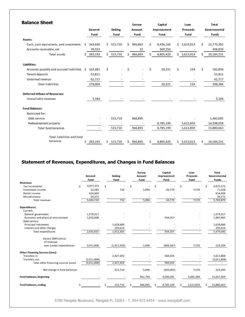| <b>Balance Sheet</b>                     |                 |                          |    |                        | <b>Escrow</b> |                        |    | Capital     |     | Loan      |              | <b>Total</b> |  |
|------------------------------------------|-----------------|--------------------------|----|------------------------|---------------|------------------------|----|-------------|-----|-----------|--------------|--------------|--|
|                                          | General<br>Fund |                          |    | <b>Sinking</b><br>Fund |               | <b>Account</b><br>Fund |    | Improvement |     | Proceeds  | Governmental |              |  |
|                                          |                 |                          |    |                        |               |                        |    | Fund        |     | Fund      |              | <b>Funds</b> |  |
| Assets:                                  |                 |                          |    |                        |               |                        |    |             |     |           |              |              |  |
| Cash, cash equivalents, and investments  | Ŝ.              | 243,640                  | Ś. | 515,710                | Ś.            | 966,863                | Ś. | 8,436,166   | Ś.  | 5,613,013 | Ś.           | 15,775,392   |  |
| Accounts receivable, net                 |                 | 39,553                   |    |                        |               | 32                     |    | 369,254     |     |           |              | 408,839      |  |
| Total assets                             | Ś.              | 283,193                  | Ś. | 515,710                | Ś.            | 966,895                | Ś. | 8,805,420   | Ś.  | 5,613,013 | Ś            | 16,184,231   |  |
| Liabilities:                             |                 |                          |    |                        |               |                        |    |             |     |           |              |              |  |
| Accounts payable and accrued liabilities | Ŝ.              | 162,481                  | \$ |                        | \$            |                        | \$ | 20,221      | \$  | 154       | \$           | 182,856      |  |
| Tenant deposits                          |                 | 52,811                   |    |                        |               |                        |    |             |     |           |              | 52,811       |  |
| Unearned revenue                         |                 | 62,717                   |    |                        |               |                        |    |             |     |           |              | 62,717       |  |
| <b>Total liabilities</b>                 |                 | 278,009                  |    |                        |               |                        |    | 20,221      |     | 154       |              | 298,384      |  |
| <b>Deferred Inflows of Resources:</b>    |                 |                          |    |                        |               |                        |    |             |     |           |              |              |  |
| Unavailable revenues                     |                 | 5,184                    |    |                        |               |                        |    |             |     |           |              | 5,184        |  |
| <b>Fund Balances:</b>                    |                 |                          |    |                        |               |                        |    |             |     |           |              |              |  |
| Restricted for:                          |                 |                          |    |                        |               |                        |    |             |     |           |              |              |  |
| Debt service                             |                 | $\overline{\phantom{a}}$ |    | 515,710                |               | 966,895                |    |             |     |           |              | 1,482,605    |  |
| Redevelopment projects                   |                 |                          |    |                        |               |                        |    | 8,785,199   |     | 5,612,859 |              | 14,398,058   |  |
| <b>Total fund balances</b>               |                 | $\overline{\phantom{a}}$ |    | 515,710                |               | 966,895                |    | 8,785,199   |     | 5,612,859 |              | 15,880,663   |  |
| Total liabilities and fund               |                 |                          |    |                        |               |                        |    |             |     |           |              |              |  |
| balances                                 | \$              | 283,193                  | \$ | 515,710                | Ś.            | 966,895                | \$ | 8,805,420   | \$. | 5,613,013 | \$           | 16,184,231   |  |

#### **Statement of Revenues, Expenditures, and Changes in Fund Balances**

|                                        |    | General<br>Fund |   | <b>Sinking</b><br>Fund | <b>Escrow</b><br><b>Account</b><br>Fund |    | Capital<br>Improvement<br>Fund |    | Loan<br>Proceeds<br>Fund |   | <b>Total</b><br>Governmental<br><b>Funds</b> |
|----------------------------------------|----|-----------------|---|------------------------|-----------------------------------------|----|--------------------------------|----|--------------------------|---|----------------------------------------------|
| Revenues:                              |    |                 |   |                        |                                         |    |                                |    |                          |   |                                              |
| Tax incremental                        | Ŝ. | 4,977,575       | Ś |                        | \$                                      | \$ |                                | \$ |                          |   | 4,977,575                                    |
| Investment income                      |    | 13,282          |   | 710                    | 5,096                                   |    | 44,770                         |    | 7,570                    |   | 71,428                                       |
| Rental income                          |    | 614,604         |   |                        |                                         |    |                                |    |                          |   | 614,604                                      |
| Miscellaneous                          |    | 39,272          |   |                        |                                         |    |                                |    |                          |   | 39,272                                       |
| Total revenues                         |    | 5,644,733       |   | 710                    | 5,096                                   |    | 44,770                         |    | 7,570                    |   | 5,702,879                                    |
| <b>Expenditures:</b>                   |    |                 |   |                        |                                         |    |                                |    |                          |   |                                              |
| Current:                               |    |                 |   |                        |                                         |    |                                |    |                          |   |                                              |
| General government                     |    | 1,579,317       |   |                        |                                         |    |                                |    |                          |   | 1,579,317                                    |
| Economic and physical environment      |    | 1,053,608       |   |                        |                                         |    | 934,357                        |    |                          |   | 1,987,965                                    |
| Debt service:                          |    |                 |   |                        |                                         |    |                                |    |                          |   |                                              |
| Principal retirement                   |    |                 |   | 1,618,689              |                                         |    |                                |    |                          |   | 1,618,689                                    |
| Interest and other charges             |    |                 |   | 293,614                |                                         |    |                                |    |                          |   | 293,614                                      |
| Total expenditures                     |    | 2,632,925       |   | 1,912,303              |                                         |    | 934,357                        |    |                          |   | 5,479,585                                    |
| Excess (deficiency)                    |    |                 |   |                        |                                         |    |                                |    |                          |   |                                              |
| of revenues                            |    |                 |   |                        |                                         |    |                                |    |                          |   |                                              |
| over (under) expenditures              |    | 3,011,808       |   | (1,911,593)            | 5,096                                   |    | (889, 587)                     |    | 7,570                    |   | 223,294                                      |
| <b>Other Financing Sources (Uses):</b> |    |                 |   |                        |                                         |    |                                |    |                          |   |                                              |
| Transfers in                           |    |                 |   | 2,427,303              |                                         |    | 584,505                        |    |                          |   | 3,011,808                                    |
| Transfers out                          |    | (3,011,808)     |   |                        |                                         |    |                                |    |                          |   | (3,011,808)                                  |
| Total other financing sources (uses)   |    | (3,011,808)     |   | 2,427,303              |                                         |    | 584,505                        |    |                          |   |                                              |
| Net change in fund balances            |    |                 |   | 515,710                | 5,096                                   |    | (305, 082)                     |    | 7,570                    |   | 223,294                                      |
| <b>Fund balances, beginning</b>        |    |                 |   |                        | 961,799                                 |    | 9,090,281                      |    | 5,605,289                |   | 15,657,369                                   |
| <b>Fund balances, ending</b>           | \$ |                 | Ś | 515,710                | \$<br>966,895                           | Ś. | 8,785,199                      | Ś. | 5,612,859                | Ś | 15,880,663                                   |

5790 Margate Boulevard, Margate FL 33063 - T. 954-972-6454 - www.margatefl.com